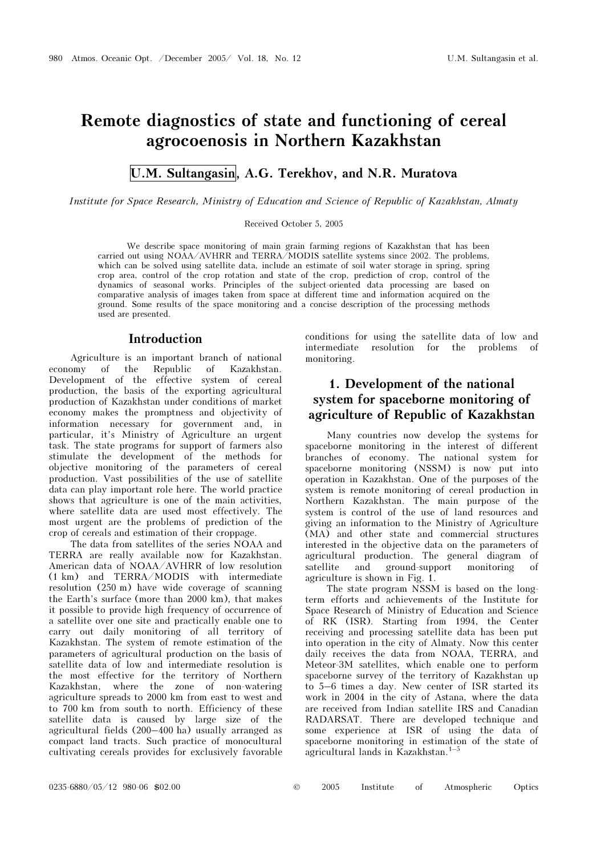# Remote diagnostics of state and functioning of cereal agrocoenosis in Northern Kazakhstan

## U.M. Sultangasin, A.G. Terekhov, and N.R. Muratova

Institute for Space Research, Ministry of Education and Science of Republic of Kazakhstan, Almaty

Received October 5, 2005

We describe space monitoring of main grain farming regions of Kazakhstan that has been carried out using NOAA/AVHRR and TERRA/MODIS satellite systems since 2002. The problems, which can be solved using satellite data, include an estimate of soil water storage in spring, spring crop area, control of the crop rotation and state of the crop, prediction of crop, control of the dynamics of seasonal works. Principles of the subject-oriented data processing are based on comparative analysis of images taken from space at different time and information acquired on the ground. Some results of the space monitoring and a concise description of the processing methods used are presented.

#### Introduction

Agriculture is an important branch of national economy of the Republic of Kazakhstan. Development of the effective system of cereal production, the basis of the exporting agricultural production of Kazakhstan under conditions of market economy makes the promptness and objectivity of information necessary for government and, in particular, it's Ministry of Agriculture an urgent task. The state programs for support of farmers also stimulate the development of the methods for objective monitoring of the parameters of cereal production. Vast possibilities of the use of satellite data can play important role here. The world practice shows that agriculture is one of the main activities, where satellite data are used most effectively. The most urgent are the problems of prediction of the crop of cereals and estimation of their croppage.

The data from satellites of the series NOAA and TERRA are really available now for Kazakhstan. American data of NOAA/AVHRR of low resolution (1 km) and TERRA/MODIS with intermediate resolution (250 m) have wide coverage of scanning the Earth's surface (more than 2000 km), that makes it possible to provide high frequency of occurrence of a satellite over one site and practically enable one to carry out daily monitoring of all territory of Kazakhstan. The system of remote estimation of the parameters of agricultural production on the basis of satellite data of low and intermediate resolution is the most effective for the territory of Northern Kazakhstan, where the zone of non-watering agriculture spreads to 2000 km from east to west and to 700 km from south to north. Efficiency of these satellite data is caused by large size of the agricultural fields (200–400 ha) usually arranged as compact land tracts. Such practice of monocultural cultivating cereals provides for exclusively favorable conditions for using the satellite data of low and intermediate resolution for the problems of monitoring.

## 1. Development of the national system for spaceborne monitoring of agriculture of Republic of Kazakhstan

Many countries now develop the systems for spaceborne monitoring in the interest of different branches of economy. The national system for spaceborne monitoring (NSSM) is now put into operation in Kazakhstan. One of the purposes of the system is remote monitoring of cereal production in Northern Kazakhstan. The main purpose of the system is control of the use of land resources and giving an information to the Ministry of Agriculture (MA) and other state and commercial structures interested in the objective data on the parameters of agricultural production. The general diagram of satellite and ground-support monitoring of agriculture is shown in Fig. 1.

The state program NSSM is based on the longterm efforts and achievements of the Institute for Space Research of Ministry of Education and Science of RK (ISR). Starting from 1994, the Center receiving and processing satellite data has been put into operation in the city of Almaty. Now this center daily receives the data from NOAA, TERRA, and Meteor-3M satellites, which enable one to perform spaceborne survey of the territory of Kazakhstan up to 5–6 times a day. New center of ISR started its work in 2004 in the city of Astana, where the data are received from Indian satellite IRS and Canadian RADARSAT. There are developed technique and some experience at ISR of using the data of spaceborne monitoring in estimation of the state of agricultural lands in Kazakhstan.<sup>1-5</sup>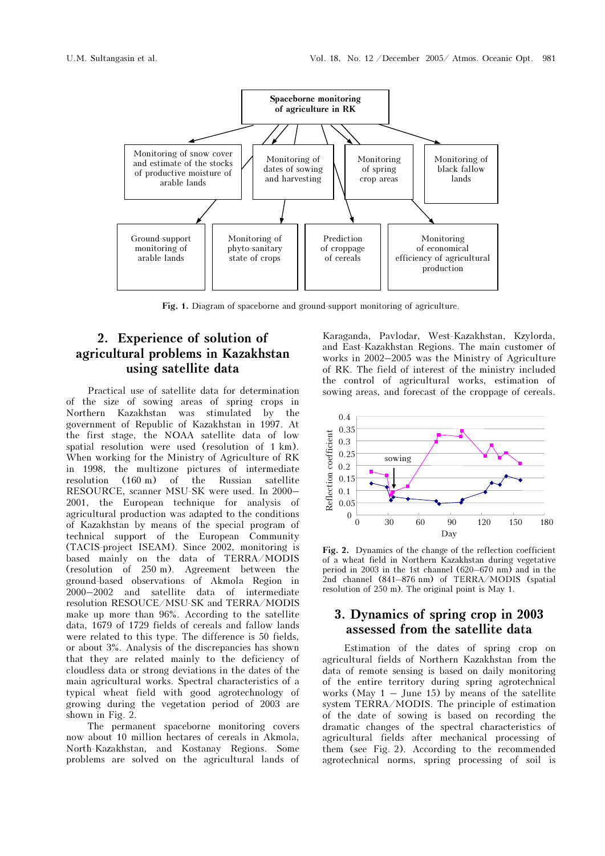

Fig. 1. Diagram of spaceborne and ground-support monitoring of agriculture.

## 2. Experience of solution of agricultural problems in Kazakhstan using satellite data

Practical use of satellite data for determination of the size of sowing areas of spring crops in Northern Kazakhstan was stimulated by the government of Republic of Kazakhstan in 1997. At the first stage, the NOAA satellite data of low spatial resolution were used (resolution of 1 km). When working for the Ministry of Agriculture of RK in 1998, the multizone pictures of intermediate resolution (160 m) of the Russian satellite RESOURCE, scanner MSU-SK were used. In 2000– 2001, the European technique for analysis of agricultural production was adapted to the conditions of Kazakhstan by means of the special program of technical support of the European Community (TACIS-project ISEAM). Since 2002, monitoring is based mainly on the data of TERRA/MODIS (resolution of 250 m). Agreement between the ground-based observations of Akmola Region in 2000–2002 and satellite data of intermediate resolution RESOUCE/MSU-SK and TERRA/MODIS make up more than 96%. According to the satellite data, 1679 of 1729 fields of cereals and fallow lands were related to this type. The difference is 50 fields, or about 3%. Analysis of the discrepancies has shown that they are related mainly to the deficiency of cloudless data or strong deviations in the dates of the main agricultural works. Spectral characteristics of a typical wheat field with good agrotechnology of growing during the vegetation period of 2003 are shown in Fig. 2.

The permanent spaceborne monitoring covers now about 10 million hectares of cereals in Akmola, North-Kazakhstan, and Kostanay Regions. Some problems are solved on the agricultural lands of

Karaganda, Pavlodar, West-Kazakhstan, Kzylorda, and East-Kazakhstan Regions. The main customer of works in 2002–2005 was the Ministry of Agriculture of RK. The field of interest of the ministry included the control of agricultural works, estimation of sowing areas, and forecast of the croppage of cereals.



Fig. 2. Dynamics of the change of the reflection coefficient of a wheat field in Northern Kazakhstan during vegetative period in 2003 in the 1st channel (620–670 nm) and in the 2nd channel (841–876 nm) of TERRA/MODIS (spatial resolution of 250 m). The original point is May 1.

## 3. Dynamics of spring crop in 2003 assessed from the satellite data

Estimation of the dates of spring crop on agricultural fields of Northern Kazakhstan from the data of remote sensing is based on daily monitoring of the entire territory during spring agrotechnical works (May  $1 -$  June 15) by means of the satellite system TERRA/MODIS. The principle of estimation of the date of sowing is based on recording the dramatic changes of the spectral characteristics of agricultural fields after mechanical processing of them (see Fig. 2). According to the recommended agrotechnical norms, spring processing of soil is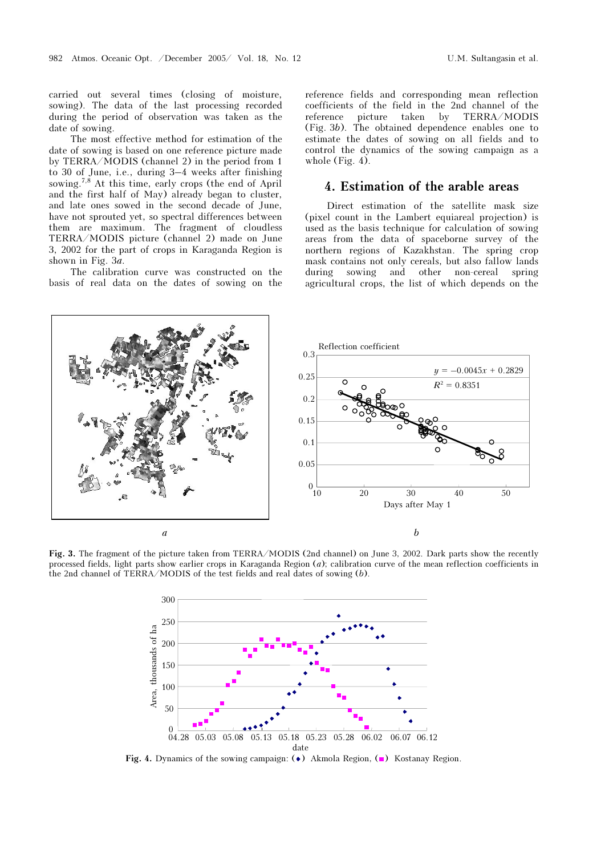carried out several times (closing of moisture, sowing). The data of the last processing recorded during the period of observation was taken as the date of sowing.

The most effective method for estimation of the date of sowing is based on one reference picture made by TERRA/MODIS (channel 2) in the period from 1 to 30 of June, i.e., during 3–4 weeks after finishing sowing.<sup>7,8</sup> At this time, early crops (the end of April and the first half of May) already began to cluster, and late ones sowed in the second decade of June, have not sprouted yet, so spectral differences between them are maximum. The fragment of cloudless TERRA/MODIS picture (channel 2) made on June 3, 2002 for the part of crops in Karaganda Region is shown in Fig. 3a.

The calibration curve was constructed on the basis of real data on the dates of sowing on the reference fields and corresponding mean reflection coefficients of the field in the 2nd channel of the reference picture taken by TERRA/MODIS (Fig. 3b). The obtained dependence enables one to estimate the dates of sowing on all fields and to control the dynamics of the sowing campaign as a whole (Fig. 4).

#### 4. Estimation of the arable areas

Direct estimation of the satellite mask size (pixel count in the Lambert equiareal projection) is used as the basis technique for calculation of sowing areas from the data of spaceborne survey of the northern regions of Kazakhstan. The spring crop mask contains not only cereals, but also fallow lands during sowing and other non-cereal spring agricultural crops, the list of which depends on the



Fig. 3. The fragment of the picture taken from TERRA/MODIS (2nd channel) on June 3, 2002. Dark parts show the recently processed fields, light parts show earlier crops in Karaganda Region (a); calibration curve of the mean reflection coefficients in the 2nd channel of TERRA/MODIS of the test fields and real dates of sowing (b).



Fig. 4. Dynamics of the sowing campaign:  $(\bullet)$  Akmola Region,  $(\bullet)$  Kostanay Region.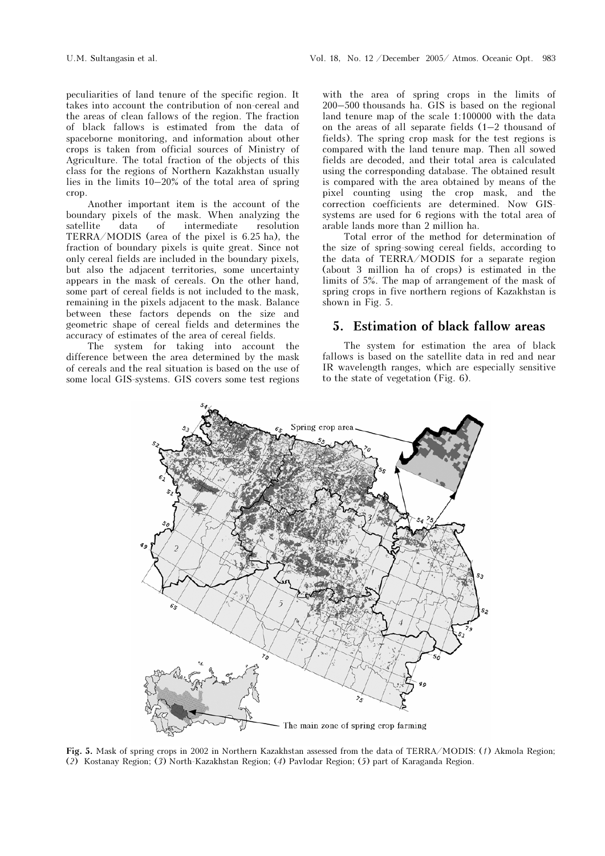peculiarities of land tenure of the specific region. It takes into account the contribution of non-cereal and the areas of clean fallows of the region. The fraction of black fallows is estimated from the data of spaceborne monitoring, and information about other crops is taken from official sources of Ministry of Agriculture. The total fraction of the objects of this class for the regions of Northern Kazakhstan usually lies in the limits 10–20% of the total area of spring crop.

Another important item is the account of the boundary pixels of the mask. When analyzing the satellite data of intermediate resolution TERRA/MODIS (area of the pixel is 6.25 ha), the fraction of boundary pixels is quite great. Since not only cereal fields are included in the boundary pixels, but also the adjacent territories, some uncertainty appears in the mask of cereals. On the other hand, some part of cereal fields is not included to the mask, remaining in the pixels adjacent to the mask. Balance between these factors depends on the size and geometric shape of cereal fields and determines the accuracy of estimates of the area of cereal fields.

The system for taking into account the difference between the area determined by the mask of cereals and the real situation is based on the use of some local GIS-systems. GIS covers some test regions with the area of spring crops in the limits of 200–500 thousands ha. GIS is based on the regional land tenure map of the scale 1:100000 with the data on the areas of all separate fields (1–2 thousand of fields). The spring crop mask for the test regions is compared with the land tenure map. Then all sowed fields are decoded, and their total area is calculated using the corresponding database. The obtained result is compared with the area obtained by means of the pixel counting using the crop mask, and the correction coefficients are determined. Now GISsystems are used for 6 regions with the total area of arable lands more than 2 million ha.

Total error of the method for determination of the size of spring-sowing cereal fields, according to the data of TERRA/MODIS for a separate region (about 3 million ha of crops) is estimated in the limits of 5%. The map of arrangement of the mask of spring crops in five northern regions of Kazakhstan is shown in Fig. 5.

### 5. Estimation of black fallow areas

The system for estimation the area of black fallows is based on the satellite data in red and near IR wavelength ranges, which are especially sensitive to the state of vegetation (Fig. 6).



Fig. 5. Mask of spring crops in 2002 in Northern Kazakhstan assessed from the data of TERRA/MODIS: (1) Akmola Region; (2) Kostanay Region; (3) North-Kazakhstan Region; (4) Pavlodar Region; (5) part of Karaganda Region.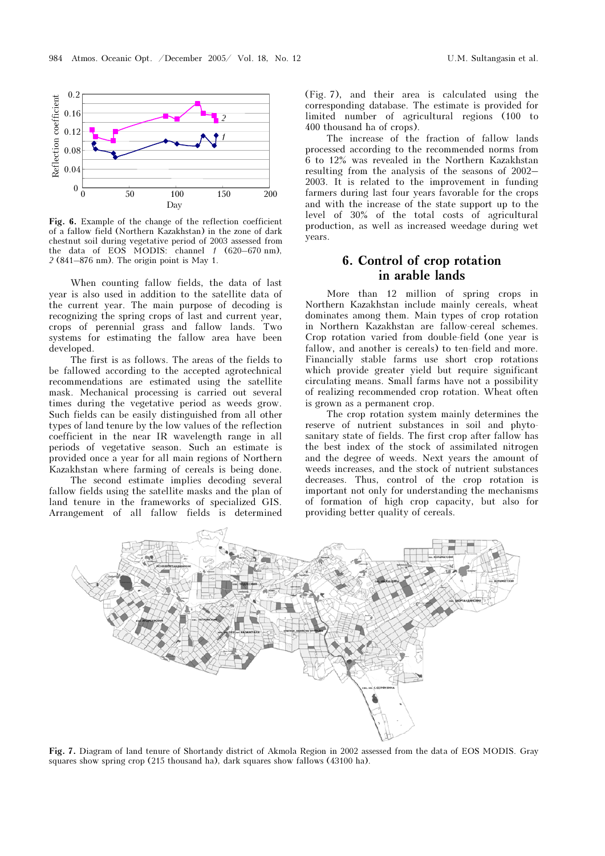

Fig. 6. Example of the change of the reflection coefficient of a fallow field (Northern Kazakhstan) in the zone of dark chestnut soil during vegetative period of 2003 assessed from the data of EOS MODIS: channel  $1$  (620–670 nm), 2 (841–876 nm). The origin point is May 1.

When counting fallow fields, the data of last year is also used in addition to the satellite data of the current year. The main purpose of decoding is recognizing the spring crops of last and current year, crops of perennial grass and fallow lands. Two systems for estimating the fallow area have been developed.

The first is as follows. The areas of the fields to be fallowed according to the accepted agrotechnical recommendations are estimated using the satellite mask. Mechanical processing is carried out several times during the vegetative period as weeds grow. Such fields can be easily distinguished from all other types of land tenure by the low values of the reflection coefficient in the near IR wavelength range in all periods of vegetative season. Such an estimate is provided once a year for all main regions of Northern Kazakhstan where farming of cereals is being done.

 The second estimate implies decoding several fallow fields using the satellite masks and the plan of land tenure in the frameworks of specialized GIS. Arrangement of all fallow fields is determined (Fig. 7), and their area is calculated using the corresponding database. The estimate is provided for limited number of agricultural regions (100 to 400 thousand ha of crops).

The increase of the fraction of fallow lands processed according to the recommended norms from 6 to 12% was revealed in the Northern Kazakhstan resulting from the analysis of the seasons of 2002– 2003. It is related to the improvement in funding farmers during last four years favorable for the crops and with the increase of the state support up to the level of 30% of the total costs of agricultural production, as well as increased weedage during wet years.

## 6. Control of crop rotation in arable lands

More than 12 million of spring crops in Northern Kazakhstan include mainly cereals, wheat dominates among them. Main types of crop rotation in Northern Kazakhstan are fallow-cereal schemes. Crop rotation varied from double-field (one year is fallow, and another is cereals) to ten-field and more. Financially stable farms use short crop rotations which provide greater yield but require significant circulating means. Small farms have not a possibility of realizing recommended crop rotation. Wheat often is grown as a permanent crop.

The crop rotation system mainly determines the reserve of nutrient substances in soil and phytosanitary state of fields. The first crop after fallow has the best index of the stock of assimilated nitrogen and the degree of weeds. Next years the amount of weeds increases, and the stock of nutrient substances decreases. Thus, control of the crop rotation is important not only for understanding the mechanisms of formation of high crop capacity, but also for providing better quality of cereals.



Fig. 7. Diagram of land tenure of Shortandy district of Akmola Region in 2002 assessed from the data of EOS MODIS. Gray squares show spring crop (215 thousand ha), dark squares show fallows (43100 ha).